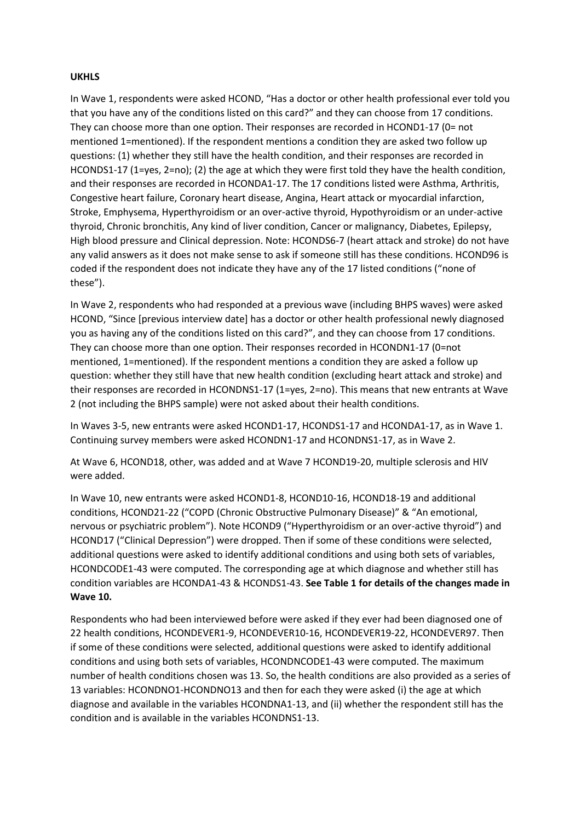## **UKHLS**

In Wave 1, respondents were asked HCOND, "Has a doctor or other health professional ever told you that you have any of the conditions listed on this card?" and they can choose from 17 conditions. They can choose more than one option. Their responses are recorded in HCOND1-17 (0= not mentioned 1=mentioned). If the respondent mentions a condition they are asked two follow up questions: (1) whether they still have the health condition, and their responses are recorded in HCONDS1-17 (1=yes, 2=no); (2) the age at which they were first told they have the health condition, and their responses are recorded in HCONDA1-17. The 17 conditions listed were Asthma, Arthritis, Congestive heart failure, Coronary heart disease, Angina, Heart attack or myocardial infarction, Stroke, Emphysema, Hyperthyroidism or an over-active thyroid, Hypothyroidism or an under-active thyroid, Chronic bronchitis, Any kind of liver condition, Cancer or malignancy, Diabetes, Epilepsy, High blood pressure and Clinical depression. Note: HCONDS6-7 (heart attack and stroke) do not have any valid answers as it does not make sense to ask if someone still has these conditions. HCOND96 is coded if the respondent does not indicate they have any of the 17 listed conditions ("none of these").

In Wave 2, respondents who had responded at a previous wave (including BHPS waves) were asked HCOND, "Since [previous interview date] has a doctor or other health professional newly diagnosed you as having any of the conditions listed on this card?", and they can choose from 17 conditions. They can choose more than one option. Their responses recorded in HCONDN1-17 (0=not mentioned, 1=mentioned). If the respondent mentions a condition they are asked a follow up question: whether they still have that new health condition (excluding heart attack and stroke) and their responses are recorded in HCONDNS1-17 (1=yes, 2=no). This means that new entrants at Wave 2 (not including the BHPS sample) were not asked about their health conditions.

In Waves 3-5, new entrants were asked HCOND1-17, HCONDS1-17 and HCONDA1-17, as in Wave 1. Continuing survey members were asked HCONDN1-17 and HCONDNS1-17, as in Wave 2.

At Wave 6, HCOND18, other, was added and at Wave 7 HCOND19-20, multiple sclerosis and HIV were added.

In Wave 10, new entrants were asked HCOND1-8, HCOND10-16, HCOND18-19 and additional conditions, HCOND21-22 ("COPD (Chronic Obstructive Pulmonary Disease)" & "An emotional, nervous or psychiatric problem"). Note HCOND9 ("Hyperthyroidism or an over-active thyroid") and HCOND17 ("Clinical Depression") were dropped. Then if some of these conditions were selected, additional questions were asked to identify additional conditions and using both sets of variables, HCONDCODE1-43 were computed. The corresponding age at which diagnose and whether still has condition variables are HCONDA1-43 & HCONDS1-43. **See Table 1 for details of the changes made in Wave 10.**

Respondents who had been interviewed before were asked if they ever had been diagnosed one of 22 health conditions, HCONDEVER1-9, HCONDEVER10-16, HCONDEVER19-22, HCONDEVER97. Then if some of these conditions were selected, additional questions were asked to identify additional conditions and using both sets of variables, HCONDNCODE1-43 were computed. The maximum number of health conditions chosen was 13. So, the health conditions are also provided as a series of 13 variables: HCONDNO1-HCONDNO13 and then for each they were asked (i) the age at which diagnose and available in the variables HCONDNA1-13, and (ii) whether the respondent still has the condition and is available in the variables HCONDNS1-13.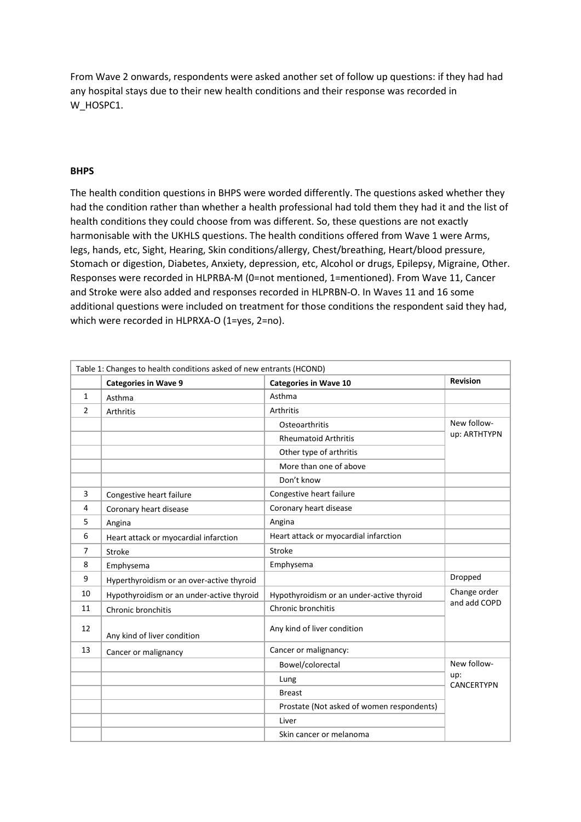From Wave 2 onwards, respondents were asked another set of follow up questions: if they had had any hospital stays due to their new health conditions and their response was recorded in W\_HOSPC1.

## **BHPS**

The health condition questions in BHPS were worded differently. The questions asked whether they had the condition rather than whether a health professional had told them they had it and the list of health conditions they could choose from was different. So, these questions are not exactly harmonisable with the UKHLS questions. The health conditions offered from Wave 1 were Arms, legs, hands, etc, Sight, Hearing, Skin conditions/allergy, Chest/breathing, Heart/blood pressure, Stomach or digestion, Diabetes, Anxiety, depression, etc, Alcohol or drugs, Epilepsy, Migraine, Other. Responses were recorded in HLPRBA-M (0=not mentioned, 1=mentioned). From Wave 11, Cancer and Stroke were also added and responses recorded in HLPRBN-O. In Waves 11 and 16 some additional questions were included on treatment for those conditions the respondent said they had, which were recorded in HLPRXA-O (1=yes, 2=no).

| Table 1: Changes to health conditions asked of new entrants (HCOND) |                                           |                                           |                              |  |
|---------------------------------------------------------------------|-------------------------------------------|-------------------------------------------|------------------------------|--|
|                                                                     | <b>Categories in Wave 9</b>               | <b>Categories in Wave 10</b>              | <b>Revision</b>              |  |
| $\mathbf{1}$                                                        | Asthma                                    | Asthma                                    |                              |  |
| 2                                                                   | Arthritis                                 | Arthritis                                 |                              |  |
|                                                                     |                                           | Osteoarthritis                            | New follow-<br>up: ARTHTYPN  |  |
|                                                                     |                                           | <b>Rheumatoid Arthritis</b>               |                              |  |
|                                                                     |                                           | Other type of arthritis                   |                              |  |
|                                                                     |                                           | More than one of above                    |                              |  |
|                                                                     |                                           | Don't know                                |                              |  |
| 3                                                                   | Congestive heart failure                  | Congestive heart failure                  |                              |  |
| 4                                                                   | Coronary heart disease                    | Coronary heart disease                    |                              |  |
| 5                                                                   | Angina                                    | Angina                                    |                              |  |
| 6                                                                   | Heart attack or myocardial infarction     | Heart attack or myocardial infarction     |                              |  |
| 7                                                                   | Stroke                                    | Stroke                                    |                              |  |
| 8                                                                   | Emphysema                                 | Emphysema                                 |                              |  |
| 9                                                                   | Hyperthyroidism or an over-active thyroid |                                           | Dropped                      |  |
| 10                                                                  | Hypothyroidism or an under-active thyroid | Hypothyroidism or an under-active thyroid | Change order<br>and add COPD |  |
| 11                                                                  | Chronic bronchitis                        | Chronic bronchitis                        |                              |  |
| 12                                                                  | Any kind of liver condition               | Any kind of liver condition               |                              |  |
| 13                                                                  | Cancer or malignancy                      | Cancer or malignancy:                     |                              |  |
|                                                                     |                                           | Bowel/colorectal                          | New follow-                  |  |
|                                                                     |                                           | Lung                                      | up:<br>CANCERTYPN            |  |
|                                                                     |                                           | <b>Breast</b>                             |                              |  |
|                                                                     |                                           | Prostate (Not asked of women respondents) |                              |  |
|                                                                     |                                           | Liver                                     |                              |  |
|                                                                     |                                           | Skin cancer or melanoma                   |                              |  |